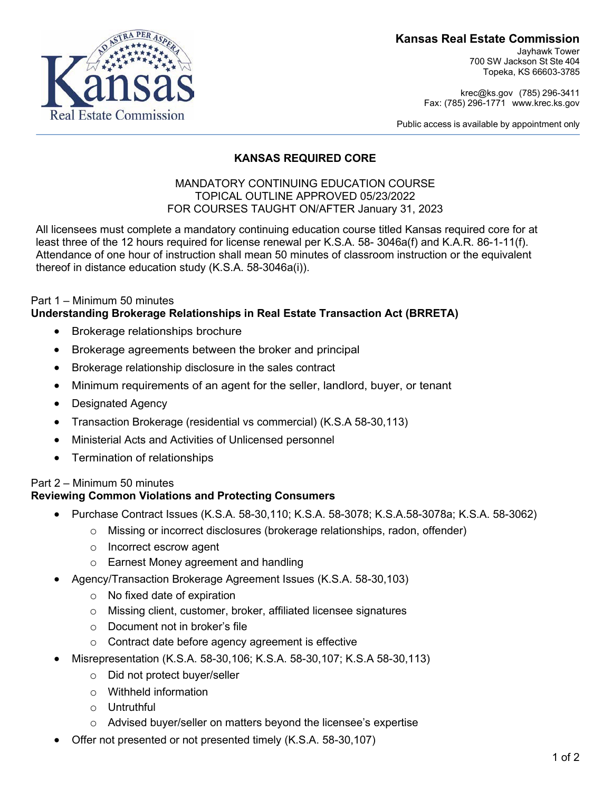#### **Kansas Real Estate Commission**

Jayhawk Tower 700 SW Jackson St Ste 404 Topeka, KS 66603-3785

[krec@ks.gov](mailto:krec@ks.gov) (785) 296-3411 Fax: (785) 296-1771 [www.krec.ks.gov](http://www.krec.ks.gov/)

Public access is available by appointment only



#### **KANSAS REQUIRED CORE**

#### MANDATORY CONTINUING EDUCATION COURSE TOPICAL OUTLINE APPROVED 05/23/2022 FOR COURSES TAUGHT ON/AFTER January 31, 2023

All licensees must complete a mandatory continuing education course titled Kansas required core for at least three of the 12 hours required for license renewal per K.S.A. 58- 3046a(f) and K.A.R. 86-1-11(f). Attendance of one hour of instruction shall mean 50 minutes of classroom instruction or the equivalent thereof in distance education study (K.S.A. 58-3046a(i)).

#### Part 1 – Minimum 50 minutes **Understanding Brokerage Relationships in Real Estate Transaction Act (BRRETA)**

- Brokerage relationships brochure
- Brokerage agreements between the broker and principal
- Brokerage relationship disclosure in the sales contract
- Minimum requirements of an agent for the seller, landlord, buyer, or tenant
- Designated Agency
- Transaction Brokerage (residential vs commercial) (K.S.A 58-30,113)
- Ministerial Acts and Activities of Unlicensed personnel
- Termination of relationships

# Part 2 – Minimum 50 minutes

## **Reviewing Common Violations and Protecting Consumers**

- Purchase Contract Issues (K.S.A. 58-30,110; K.S.A. 58-3078; K.S.A.58-3078a; K.S.A. 58-3062)
	- $\circ$  Missing or incorrect disclosures (brokerage relationships, radon, offender)
	- o Incorrect escrow agent
	- o Earnest Money agreement and handling
- Agency/Transaction Brokerage Agreement Issues (K.S.A. 58-30,103)
	- o No fixed date of expiration
	- o Missing client, customer, broker, affiliated licensee signatures
	- o Document not in broker's file
	- o Contract date before agency agreement is effective
- Misrepresentation (K.S.A. 58-30,106; K.S.A. 58-30,107; K.S.A 58-30,113)
	- o Did not protect buyer/seller
	- o Withheld information
	- o Untruthful
	- o Advised buyer/seller on matters beyond the licensee's expertise
- Offer not presented or not presented timely (K.S.A. 58-30,107)